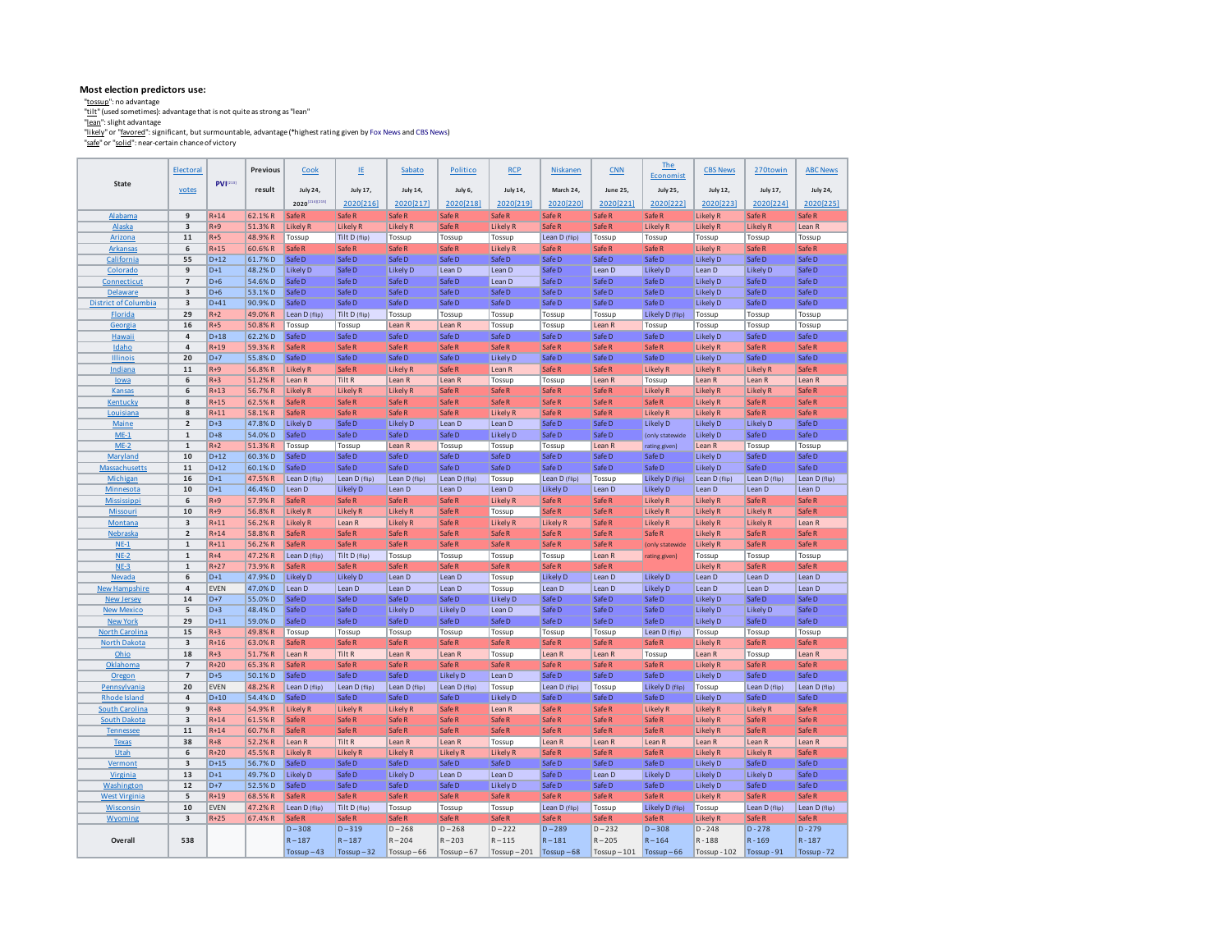#### **Most election predictors use:**

"<u>tosup"</u> : no advantage<br><u>"ltit"</u> (used sometimes): advantage that is not quite as strong as "lean"<br>"<u>litah</u>y" or "favo<u>red</u>": significant, but surmountable, advantage (\*highest rating given by Fox News and CBS News)<br>"<u>"af</u>

|                                              | Electoral               |                   | <b>Previous</b>  | Cook                      | LE                        | Sabato                    | Politico                    | <b>RCP</b>                | Niskanen                  | CNN               | <b>The</b><br>Economist   | <b>CBS News</b>                    | 270towin                             | <b>ABC News</b>             |
|----------------------------------------------|-------------------------|-------------------|------------------|---------------------------|---------------------------|---------------------------|-----------------------------|---------------------------|---------------------------|-------------------|---------------------------|------------------------------------|--------------------------------------|-----------------------------|
| State                                        | votes                   | $PVI^{[213]}$     | result           | July 24,                  | July 17,                  | July 14,                  | July 6,                     | <b>July 14,</b>           | March 24,                 | June 25           | <b>July 25,</b>           | <b>July 12,</b>                    | July 17,                             | July 24,                    |
|                                              |                         |                   |                  | 2020 [214] [215]          | 2020[216]                 | 2020[217]                 | 2020[218]                   | 2020[219]                 |                           | 2020[221]         | 2020[222]                 | 2020[223]                          | 2020[224]                            | 2020[225]                   |
|                                              |                         |                   |                  |                           |                           |                           |                             |                           | 2020[220]                 |                   |                           |                                    |                                      |                             |
| <b>Alabama</b><br><b>Alaska</b>              | 9<br>3                  | $R+14$<br>$R + 9$ | 62.1%R<br>51.3%R | Safe R<br><b>Likely R</b> | Safe R<br><b>Likely R</b> | Safe R<br>Likely R        | Safe <sub>R</sub><br>Safe R | Safe R<br><b>Likely R</b> | Safe R<br>Safe R          | Safe R<br>Safe R  | Safe R<br><b>Likely R</b> | <b>Likely R</b><br><b>Likely R</b> | Safe <sub>R</sub><br><b>Likely R</b> | Safe R<br>Lean <sub>R</sub> |
| Arizona                                      | 11                      | $R + 5$           | 48.9% R          | Tossup                    | Tilt D (flip)             | Tossup                    | Tossup                      | Tossup                    | Lean D (flip)             | Tossup            | Tossup                    | Tossup                             | Tossup                               | Tossup                      |
| <b>Arkansas</b>                              | 6                       | $R+15$            | 60.6% R          | Safe R                    | Safe R                    | Safe R                    | Safe R                      | <b>Likely R</b>           | Safe R                    | Safe R            | Safe R                    | <b>Likely R</b>                    | Safe R                               | Safe R                      |
| California                                   | 55                      | $D+12$            | 61.7%D           | Safe D                    | Safe D                    | Safe D                    | Safe D                      | Safe D                    | Safe D                    | Safe D            | Safe D                    | Likely D                           | Safe D                               | Safe D                      |
| Colorado                                     | 9                       | $D+1$             | 48.2%D           | Likely D                  | Safe D                    | Likely D                  | Lean D                      | Lean D                    | Safe D                    | Lean D            | Likely D                  | Lean D                             | Likely D                             | Safe D                      |
| Connecticut                                  | $\overline{7}$          | $D+6$             | 54.6%D           | Safe D                    | Safe D                    | Safe D                    | Safe D                      | Lean D                    | Safe D                    | Safe D            | Safe D                    | Likely D                           | Safe D                               | Safe D                      |
| <b>Delaware</b>                              | $\overline{\mathbf{3}}$ | $D+6$             | 53.1%D           | Safe D                    | Safe D                    | Safe D                    | Safe D                      | Safe D                    | Safe D                    | Safe D            | Safe D                    | Likely D                           | Safe D                               | Safe D                      |
| <b>District of Columbia</b>                  | 3                       | $D+41$            | 90.9%D           | Safe D                    | Safe D                    | Safe D                    | Safe D                      | Safe D                    | Safe D                    | Safe D            | Safe D                    | Likely D                           | Safe D                               | Safe D                      |
| Florida                                      | 29                      | $R+2$             | 49.0% R          | Lean D (flip)             | Tilt D (flip)             | Tossup                    | Tossup                      | Tossup                    | Tossup                    | Tossup            | Likely D (flip)           | Tossup                             | Tossup                               | Tossup                      |
| Georgia                                      | 16                      | $R + 5$           | 50.8% R          | Tossup                    | Tossup                    | Lean R                    | Lean R                      | Tossup                    | Tossup                    | Lean R            | Tossup                    | Tossup                             | Tossup                               | Tossup                      |
| Hawaii                                       | $\pmb{4}$               | $D+18$            | 62.2%D           | Safe D                    | Safe D                    | Safe D                    | Safe D                      | Safe D                    | Safe D                    | Safe D            | Safe D                    | <b>Likely D</b>                    | Safe D                               | Safe D                      |
| Idaho                                        | $\pmb{4}$               | $R+19$            | 59.3%R           | Safe R                    | Safe R                    | Safe R                    | Safe R                      | Safe R                    | Safe R                    | Safe R            | Safe R                    | <b>Likely R</b>                    | Safe R                               | Safe R                      |
| <b>Illinois</b>                              | 20                      | $D+7$             | 55.8%D           | Safe D                    | Safe D                    | Safe D                    | Safe D                      | <b>Likely D</b>           | Safe D                    | Safe D            | Safe D                    | <b>Likely D</b>                    | Safe D                               | Safe D                      |
| Indiana                                      | 11                      | $R + 9$           | 56.8%R           | <b>Likely R</b>           | Safe R                    | Likely <sub>R</sub>       | Safe <sub>R</sub>           | Lean R                    | Safe R                    | Safe R            | <b>Likely R</b>           | <b>Likely R</b>                    | <b>Likely R</b>                      | Safe R                      |
| lowa                                         | 6                       | $R+3$             | 51.2%R           | Lean R                    | Tilt R                    | Lean R                    | Lean R                      | Tossup                    | Tossup                    | Lean R            | Tossup                    | Lean R                             | Lean R                               | Lean R                      |
| Kansas                                       | 6                       | $R+13$            | 56.7% R          | Likely R                  | Likely <sub>R</sub>       | Likely <sub>R</sub>       | Safe R                      | Safe R                    | Safe R                    | Safe R            | Likely R                  | <b>Likely R</b>                    | Likely <sub>R</sub>                  | Safe R                      |
| Kentucky                                     | 8                       | $R+15$            | 62.5%R           | Safe R                    | Safe R                    | Safe R                    | Safe <sub>R</sub>           | Safe R                    | Safe R                    | Safe R            | Safe R                    | <b>Likely R</b>                    | Safe R                               | Safe R                      |
| Louisiana                                    | 8                       | $R+11$            | 58.1%R           | Safe <sub>R</sub>         | Safe R                    | Safe R                    | Safe R                      | <b>Likely R</b>           | Safe R                    | Safe R            | Likely R                  | Likely R                           | Safe R                               | Safe R                      |
| Maine                                        | $\mathbf 2$             | $D+3$             | 47.8% D          | <b>Likely D</b>           | Safe D                    | Likely D                  | Lean D                      | Lean D                    | Safe D                    | Safe D            | Likely D                  | Likely D                           | Likely D                             | Safe D                      |
| $ME-1$                                       | $\mathbf 1$             | $D+8$             | 54.0%D           | Safe D                    | Safe D                    | Safe D                    | Safe D                      | <b>Likely D</b>           | Safe D                    | Safe D            | (only statewide           | <b>Likely D</b>                    | Safe D                               | Safe D                      |
| $ME-2$                                       | $\mathbf{1}$            | $R+2$             | 51.3% R          | Tossup                    | Tossup                    | Lean R                    | Tossup                      | Tossup<br>Safe D          | Tossup                    | Lean R            | rating given)             | Lean R                             | Tossup                               | Tossup                      |
| Maryland                                     | 10<br>11                | $D+12$<br>$D+12$  | 60.3%D<br>60.1%D | Safe D<br>Safe D          | Safe D<br>Safe D          | Safe D<br>Safe D          | Safe D<br>Safe D            | Safe D                    | Safe D<br>Safe D          | Safe D<br>Safe D  | Safe D<br>Safe D          | Likely D<br><b>Likely D</b>        | Safe D<br>Safe D                     | Safe D<br>Safe D            |
| <b>Massachusetts</b><br>Michigan             | 16                      | $D+1$             | 47.5% R          |                           |                           |                           |                             |                           |                           |                   | Likely D (flip)           |                                    |                                      |                             |
| Minnesota                                    | 10                      | $D+1$             | 46.4%D           | Lean D (flip)<br>Lean D   | Lean D (flip)<br>Likely D | Lean D (flip)<br>Lean D   | Lean D (flip)<br>Lean D     | Tossup<br>Lean D          | Lean D (flip)<br>Likely D | Tossup<br>Lean D  | <b>Likely D</b>           | Lean D (flip)<br>Lean D            | Lean D (flip)<br>Lean D              | Lean D (flip)<br>Lean D     |
| Mississippi                                  | 6                       | $R + 9$           | 57.9% R          | Safe <sub>R</sub>         | Safe R                    | Safe R                    | Safe R                      | <b>Likely R</b>           | Safe R                    | Safe R            | <b>Likely R</b>           | <b>Likely R</b>                    | Safe R                               | Safe R                      |
| Missouri                                     | 10                      | $R + 9$           | 56.8% R          | Likely R                  | <b>Likely R</b>           | <b>Likely R</b>           | Safe R                      | Tossup                    | Safe R                    | Safe R            | <b>Likely R</b>           | <b>Likely R</b>                    | <b>Likely R</b>                      | Safe R                      |
| Montana                                      | $\overline{\mathbf{3}}$ | $R+11$            | 56.2%R           | <b>Likely R</b>           | Lean R                    | <b>Likely R</b>           | Safe <sub>R</sub>           | Likely R                  | Likely R                  | Safe <sub>R</sub> | <b>Likely R</b>           | <b>Likely R</b>                    | <b>Likely R</b>                      | Lean <sub>R</sub>           |
| Nebraska                                     | $\overline{2}$          | $R+14$            | 58.8%R           | Safe <sub>R</sub>         | Safe R                    | Safe R                    | Safe R                      | Safe R                    | Safe R                    | Safe R            | Safe R                    | <b>Likely R</b>                    | Safe R                               | Safe R                      |
| $NE-1$                                       | $\mathbf 1$             | $R+11$            | 56.2%R           | Safe R                    | Safe R                    | Safe R                    | Safe <sub>R</sub>           | Safe R                    | Safe R                    | Safe R            | (only statewide           | <b>Likely R</b>                    | Safe R                               | Safe R                      |
| $NE-2$                                       | $\mathbf{1}$            | $R+4$             | 47.2% R          | Lean D (flip)             | Tilt D (flip)             | Tossup                    | Tossup                      | Tossup                    | Tossup                    | Lean R            | rating given)             | Tossup                             | Tossup                               | Tossup                      |
| $NE-3$                                       | $\mathbf 1$             | $R+27$            | 73.9% R          | Safe R                    | Safe R                    | Safe R                    | Safe R                      | Safe R                    | Safe R                    | Safe R            |                           | <b>Likely R</b>                    | Safe R                               | Safe R                      |
| Nevada                                       | 6                       | $D+1$             | 47.9% D          | Likely D                  | Likely D                  | Lean D                    | Lean D                      | Tossup                    | <b>Likely D</b>           | Lean D            | <b>Likely D</b>           | Lean D                             | Lean D                               | Lean D                      |
| <b>New Hampshire</b>                         | 4                       | <b>EVEN</b>       | 47.0%D           | Lean D                    | Lean D                    | Lean D                    | Lean D                      | Tossup                    | Lean D                    | Lean D            | Likely D                  | Lean D                             | Lean D                               | Lean D                      |
| <b>New Jersey</b>                            | 14                      | $D+7$             | 55.0%D           | Safe D                    | Safe D                    | Safe D                    | Safe D                      | Likely D                  | Safe D                    | Safe D            | Safe D                    | <b>Likely D</b>                    | Safe D                               | Safe D                      |
| <b>New Mexico</b>                            | 5                       | $D+3$             | 48.4%D           | Safe D                    | Safe D                    | Likely D                  | <b>Likely D</b>             | Lean D                    | Safe D                    | Safe D            | Safe D                    | Likely D                           | Likely D                             | Safe D                      |
| <b>New York</b>                              | 29                      | $D+11$            | 59.0%D           | Safe D                    | Safe D                    | Safe D                    | Safe D                      | Safe D                    | Safe D                    | Safe D            | Safe D                    | <b>Likely D</b>                    | Safe D                               | Safe D                      |
| <b>North Carolina</b>                        | 15                      | $R + 3$           | 49.8% R          | Tossup                    | Tossup                    | Tossup                    | Tossup                      | Tossup                    | Tossup                    | Tossup            | Lean D (flip)             | Tossup                             | Tossup                               | Tossup                      |
| <b>North Dakota</b>                          | $\overline{\mathbf{3}}$ | $R+16$            | 63.0% R          | Safe R                    | Safe R                    | Safe R                    | Safe <sub>R</sub>           | Safe R                    | Safe R                    | Safe R            | Safe R                    | <b>Likely R</b>                    | Safe R                               | Safe R                      |
| Ohio                                         | 18                      | $R+3$             | 51.7% R          | Lean R                    | Tilt R                    | Lean <sub>R</sub>         | Lean R                      | Tossup                    | Lean <sub>R</sub>         | Lean R            | Tossup                    | Lean <sub>R</sub>                  | Tossup                               | Lean <sub>R</sub>           |
| Oklahoma                                     | $\overline{7}$          | $R+20$            | 65.3% R          | Safe R                    | Safe R                    | Safe R                    | Safe R                      | Safe R                    | Safe R                    | Safe R            | Safe R                    | <b>Likely R</b>                    | Safe R                               | Safe R                      |
| Oregon                                       | $\overline{7}$          | $D+5$             | 50.1%D           | Safe D                    | Safe D                    | Safe D                    | <b>Likely D</b>             | Lean D                    | Safe D                    | Safe D            | Safe D                    | <b>Likely D</b>                    | Safe D                               | Safe D                      |
| Pennsylvania                                 | 20                      | <b>EVEN</b>       | 48.2%R<br>54.4%D | Lean D (flip)             | Lean D (flip)             | Lean D (flip)             | Lean D (flip)               | Tossup                    | Lean D (flip)             | Tossup            | Likely D (flip)           | Tossup                             | Lean D (flip)                        | Lean D (flip)               |
| <b>Rhode Island</b><br><b>South Carolina</b> | 4<br>$\boldsymbol{9}$   | $D+10$<br>$R + 8$ | 54.9% R          | Safe D<br><b>Likely R</b> | Safe D<br><b>Likely R</b> | Safe D<br><b>Likely R</b> | Safe D<br>Safe R            | Likely D<br>Lean R        | Safe D<br>Safe R          | Safe D<br>Safe R  | Safe D<br><b>Likely R</b> | Likely D<br><b>Likely R</b>        | Safe D<br><b>Likely R</b>            | Safe D<br>Safe R            |
| <b>South Dakota</b>                          | $\overline{\mathbf{3}}$ | $R+14$            | 61.5% R          | Safe R                    | Safe R                    | Safe R                    | Safe R                      | Safe R                    | Safe R                    | Safe R            | Safe R                    |                                    |                                      | Safe R                      |
| <b>Tennessee</b>                             | 11                      | $R+14$            | 60.7% R          | Safe R                    | Safe R                    | Safe R                    | Safe R                      | Safe R                    | Safe R                    | Safe R            | Safe R                    | <b>Likely R</b><br><b>Likely R</b> | Safe R<br>Safe R                     | Safe R                      |
| <b>Texas</b>                                 | 38                      | $R + 8$           | 52.2%R           | Lean R                    | Tilt R                    | Lean R                    | Lean R                      | Tossup                    | Lean R                    | Lean R            | Lean R                    | Lean R                             | Lean R                               | Lean R                      |
| Utah                                         | 6                       | $R+20$            | 45.5% R          | <b>Likely R</b>           | <b>Likely R</b>           | <b>Likely R</b>           | <b>Likely R</b>             | <b>Likely R</b>           | Safe R                    | Safe R            | Safe R                    | <b>Likely R</b>                    | Likely <sub>R</sub>                  | Safe R                      |
| Vermont                                      | $\overline{\mathbf{3}}$ | $D+15$            | 56.7% D          | Safe D                    | Safe D                    | Safe D                    | Safe D                      | Safe D                    | Safe D                    | Safe D            | Safe D                    | <b>Likely D</b>                    | Safe D                               | Safe D                      |
| Virginia                                     | 13                      | $D+1$             | 49.7% D          | Likely D                  | Safe D                    | <b>Likely D</b>           | Lean D                      | Lean D                    | Safe D                    | Lean D            | Likely D                  | Likely D                           | Likely D                             | Safe D                      |
| Washington                                   | 12                      | $D+7$             | 52.5%D           | Safe D                    | Safe D                    | Safe D                    | Safe D                      | <b>Likely D</b>           | Safe D                    | Safe D            | Safe D                    | <b>Likely D</b>                    | Safe D                               | Safe D                      |
| <b>West Virginia</b>                         | 5                       | $R+19$            | 68.5%R           | Safe R                    | Safe R                    | Safe R                    | Safe R                      | Safe R                    | Safe R                    | Safe R            | Safe R                    | <b>Likely R</b>                    | Safe R                               | Safe R                      |
| Wisconsin                                    | 10                      | <b>EVEN</b>       | 47.2% R          | Lean D (flip)             | Tilt D (flip)             | Tossup                    | Tossup                      | Tossup                    | Lean D (flip)             | Tossup            | Likely D (flip)           | Tossup                             | Lean D (flip)                        | Lean D (flip)               |
| Wyoming                                      | $\overline{\mathbf{3}}$ | $R+25$            | 67.4%R           | Safe R                    | Safe R                    | Safe R                    | Safe <sub>R</sub>           | Safe R                    | Safe R                    | Safe R            | Safe R                    | <b>Likely R</b>                    | Safe R                               | Safe R                      |
|                                              |                         |                   |                  | $D - 308$                 | $D - 319$                 | $D - 268$                 | $D - 268$                   | $D - 222$                 | $D - 289$                 | $D - 232$         | $D - 308$                 | $D - 248$                          | $D - 278$                            | $D - 279$                   |
| Overall                                      | 538                     |                   |                  | $R - 187$                 | $R - 187$                 | $R - 204$                 | $R - 203$                   | $R - 115$                 | $R - 181$                 | $R - 205$         | $R - 164$                 | $R - 188$                          | $R - 169$                            | $R - 187$                   |
|                                              |                         |                   |                  | $Tossup-43$               | $Tossup-32$               | $Tossup-66$               | $Tossup-67$                 | $Tossup-201$              | Tossup $-68$              | $Tossup-101$      | $Tossup-66$               | Tossup - 102                       | Tossup - 91                          | Tossup - 72                 |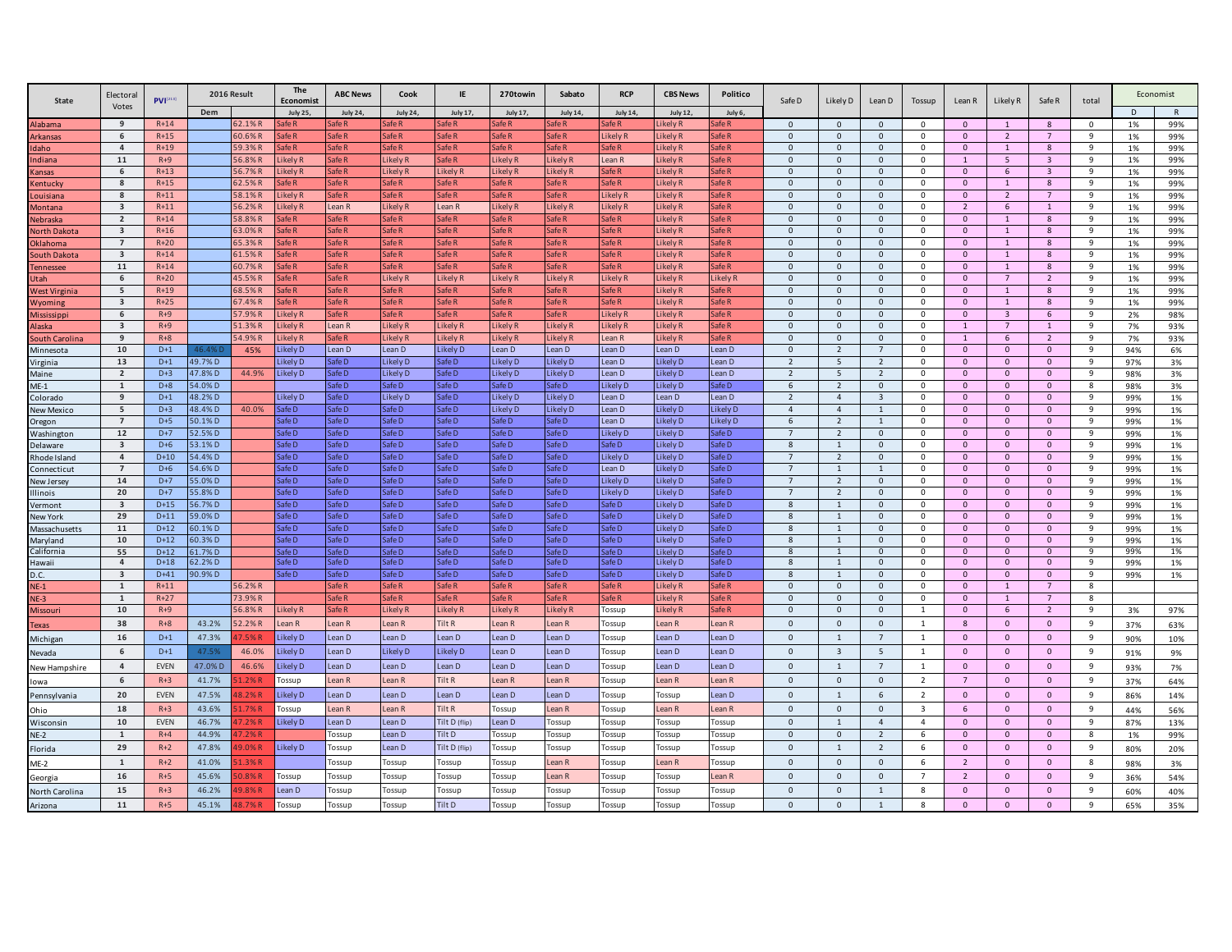| State                    | Electoral               | <b>PVI</b> <sup>[213]</sup> |                  | 2016 Result | The<br>Economist   | <b>ABC News</b> | Cook                | IE              | 270towin             | Sabato               | <b>RCP</b>         | <b>CBS News</b>    | Politico            | Safe D               | Likely D                         | Lean D                         | Tossup                     | Lean R                       | Likely R                   | Safe R                         | total          |              | Economist |
|--------------------------|-------------------------|-----------------------------|------------------|-------------|--------------------|-----------------|---------------------|-----------------|----------------------|----------------------|--------------------|--------------------|---------------------|----------------------|----------------------------------|--------------------------------|----------------------------|------------------------------|----------------------------|--------------------------------|----------------|--------------|-----------|
|                          | Votes                   |                             | Dem              |             | <b>July 25,</b>    | <b>July 24,</b> | <b>July 24,</b>     | July 17,        | July 17,             | <b>July 14,</b>      | <b>July 14,</b>    | <b>July 12,</b>    | July 6,             |                      |                                  |                                |                            |                              |                            |                                |                | <sub>D</sub> |           |
| Alabama                  | 9                       | $R+14$                      |                  | 62.1%R      | afe R              | afe R           | afe R               | afe R           | afe R                | afe R                | afe R              | ikely R            | afe R               | $\mathbf{0}$         | $\mathbf{0}$                     | $\mathbf{0}$                   | $\mathbf 0$                | $\mathbf{0}$                 |                            | 8                              | $\mathbf 0$    | 1%           | 99%       |
| rkansas                  | 6                       | $R+15$                      |                  | 60.6%R      | $f \in R$          | afe R           | afe R               | afe R           | afe R                | afe R                | ikely <sub>R</sub> | ikely R            | afe R               | $\Omega$             | $\mathbf{0}$                     | $\mathbf 0$                    | $\mathbf 0$                | $\mathbf{0}$                 | $\overline{2}$             | $\overline{7}$                 | 9              | 1%           | 99%       |
| laho                     | $\overline{4}$          | $R+19$                      |                  | 59.3%R      | afe R              | afe R           | Safe R              | afe R           | Safe R               | afe R                | Safe R             | ikely R            | afe R               | $\mathbf{0}$         | $\mathbf{0}$                     | $\mathbf{0}$                   | $\mathbf 0$                | $\mathbf{0}$                 | $\mathbf{1}$               | 8                              | 9              | 1%           | 99%       |
| ıdiana                   | 11                      | $R+9$                       |                  | 56.8%R      | ikely R            | afe R           | ikely <sub>R</sub>  | afe R           | ikely R              | ikely R              | ean R              | ikely R            | afe R               | $\Omega$             | $\Omega$                         | $\mathbf{0}$                   | $\Omega$                   | $\mathbf{1}$                 | 5                          | $\overline{3}$                 | 9              | 1%           | 99%       |
| ansas                    | 6                       | $R+13$                      |                  | 56.7%F      | ikely R            | afe R           | Likely <sub>R</sub> | ikely R         | Likely <sub>R</sub>  | ikely R              | Safe <sub>R</sub>  | ikely R            | Safe <sub>R</sub>   | $\Omega$             | $\mathbf 0$                      | $\mathbf 0$                    | $\Omega$                   | $\mathbf{0}$                 | 6                          | $\overline{\mathbf{3}}$        | 9              | 1%           | 99%       |
| entucky                  | 8                       | $R+15$                      |                  | 62.5%R      | afe R              | afe R           | Safe R              | afe R           | Safe R               | afe R                | Safe R             | Likely R           | Safe R              | $\Omega$             | $\mathbf 0$                      | $\mathbf 0$                    | $\mathbf 0$                | $\mathbf{0}$                 | $\mathbf{1}$               | 8                              | 9              | 1%           | 99%       |
| ouisiana                 | 8                       | $R+11$                      |                  | 58.1%R      | ikely R            | afe R           | Safe R              | afe R           | Safe R               | Safe R               | ikely R            | ikely R            | Safe <sub>R</sub>   | $\mathbf 0$          | $\mathbf{0}$                     | $\mathbf 0$                    | $\mathbf 0$                | $\mathbf{0}$                 | $\overline{2}$             | $\overline{7}$                 | 9              | 1%           | 99%       |
| <b>Montana</b>           | $\overline{\mathbf{3}}$ | $R+11$                      |                  | 56.2%R      | ikely R            | Lean R          | Likely R            | Lean R          | Likely <sub>R</sub>  | Likely R             | Likely R           | ikely R            | Safe <sub>R</sub>   | $\mathbf 0$          | $\mathbf 0$                      | $\mathbf 0$                    | $^{\circ}$                 | $\overline{2}$               | 6                          | $\mathbf{1}$                   | 9              | 1%           | 99%       |
| lebraska                 | $\overline{2}$          | $R+14$                      |                  | 58.8%R      | afe R              | Safe R          | Safe R              | Safe R          | Safe R               | Safe R               | Safe R             | ikely R            | Safe <sub>R</sub>   | $\mathbf{0}$         | $\mathbf 0$                      | $\mathsf 0$                    | $\mathbf 0$                | $\mathbf{0}$                 | $\mathbf{1}$               | $8\phantom{1}$                 | 9              | 1%           | 99%       |
| lorth Dakota             | $\overline{\mathbf{3}}$ | $R+16$                      |                  | 63.0%R      | afe R              | afe R           | Safe R              | afe R           | Safe R               | afe R                | Safe R             | ikely R            | Safe R              | $\Omega$             | $\mathbf 0$                      | $\Omega$                       | $\Omega$                   | $\mathbf{0}$                 | $\mathbf{1}$               | 8                              | $\mathbf{q}$   | 1%           | 99%       |
| Oklahoma                 | $\overline{7}$          | $R+20$                      |                  | 65.3%R      | afe R              | afe R           | afe R               | afe R           | afe R                | afe R                | afe R              | ikely R            | afe R               | $\Omega$             | $\mathbf{0}$                     | $\mathbf{0}$                   | $\Omega$                   | $\mathbf{0}$                 | $\mathbf{1}$               | $\mathbf{g}$                   | 9              | 1%           | 99%       |
| South Dakota             | $\overline{\mathbf{3}}$ | $R+14$                      |                  | 61.5%R      | afe R              | afe R           | afe R               | afe R           | Safe R               | afe R                | afe R              | ikely R            | afe R               | $\Omega$             | $\mathbf 0$                      | $\Omega$                       | $\mathbf 0$                | $\mathbf{0}$                 | $\overline{1}$             | 8                              | 9              | 1%           | 99%       |
| Tennessee                | 11                      | $R+14$                      |                  | 60.7%R      | afe R              | afe R           | afe R               | afe R           | Safe R               | afe R                | Safe <sub>R</sub>  | ikely R            | afe R               | $\mathbf{0}$         | $\mathbf 0$                      | $\mathbf 0$                    | $\mathbf 0$                | $\mathbf{0}$                 | $\mathbf{1}$               | 8                              | 9              | 1%           | 99%       |
| Utah                     | 6                       | $R+20$                      |                  | 45.5% F     | afe R              | afe R           | ikely <sub>R</sub>  | ikely R         | Likely R             | ikely R              | ikely F            | ikely R            | Likely <sub>F</sub> | $\Omega$             | $\mathbf 0$                      | $\mathbf{0}$                   | $\mathbf 0$                | $\mathbf{0}$                 | $\overline{7}$             | $\overline{2}$                 | 9              | 1%           | 99%       |
| <b>West Virginia</b>     | 5                       | $R+19$                      |                  | 68.5%R      | afe R              | afe R           | Safe R              | afe R           | Safe R               | afe R                | Safe R             | ikely R            | Safe R              | $\mathbf 0$          | $\mathbf{0}$                     | $\mathsf 0$                    | $\mathbf 0$                | $\mathbf{0}$                 | $\mathbf{1}$               | 8                              | 9              | 1%           | 99%       |
| Wyoming                  | $\overline{\mathbf{3}}$ | $R+25$                      |                  | 67.4%R      | afe R              | afe R           | Safe R              | afe R           | Safe <sub>R</sub>    | Safe R               | Safe R             | ikely R            | Safe <sub>R</sub>   | $\mathbf{0}$         | $\mathbf 0$                      | $\mathbf{0}$                   | $\mathbf 0$                | $\mathbf{0}$                 | $\mathbf{1}$               | 8                              | 9              | 1%           | 99%       |
| Mississippi              | 6                       | $R+9$                       |                  | 57.9%R      | ikely R            | afe R           | Safe <sub>R</sub>   | afe R           | Safe R               | Safe R               | ikely R            | ikely R            | Safe R              | $\Omega$<br>$\Omega$ | $\mathbf 0$                      | $\mathbf{0}$                   | $\Omega$                   | $\mathbf{0}$                 | $\overline{3}$             | 6                              | 9              | 2%           | 98%       |
| Alaska                   | $\overline{\mathbf{3}}$ | $R + 9$                     |                  | 51.3%R      | ikely R            | Lean R          | Likely R            | Likely R        | Likely <sub>R</sub>  | Likely R             | ikely R.           | ikely R            | Safe <sub>R</sub>   |                      | $\mathbf{0}$                     | $\mathbf{0}$                   | $\mathbf 0$                | $\mathbf{1}$                 | $\overline{7}$             | -1                             | 9              | 7%           | 93%       |
| <b>South Carolina</b>    | 9                       | $R + 8$                     |                  | 54.9% R     | ikely R            | Safe R          | ikely R<br>Lean D   | ikely R         | ikely R<br>Lean D    | ikely R<br>Lean D    | ean R              | ikely R            | Safe R<br>Lean D    | $\Omega$<br>$\Omega$ | $\mathsf 0$                      | $\mathbf{0}$<br>$\overline{7}$ | $\mathbf 0$<br>$\Omega$    | $\mathbf{1}$<br>$\mathbf{0}$ | 6<br>$\mathbf{0}$          | $\overline{2}$<br>$\mathbf{0}$ | 9              | 7%           | 93%       |
| Minnesota                | 10                      | $D+1$                       | 46.4%            | 45%         | ikely D            | Lean D          |                     | Likely D        |                      |                      | Lean D             | Lean D             |                     |                      | $\overline{2}$                   |                                |                            |                              |                            |                                | 9              | 94%          | 6%        |
| Virginia                 | 13                      | $D+1$                       | 49.7%D           |             | Likely D           | Safe D          | Likely D            | Safe D          | Likely D             | Likely D             | Lean D             | Likely D           | Lean D              | $\overline{2}$       | $5\overline{5}$                  | $\overline{z}$                 | $\mathbf 0$                | $\mathbf{0}$                 | $\overline{0}$             | $\mathbf{0}$                   | $\overline{9}$ | 97%          | 3%        |
| Maine                    | $\overline{2}$          | $D+3$<br>$D+8$              | 47.8%D           | 44.9%       | ikely D            | afe D           | Likely D            | afe D           | Likely D             | ikely D              | Lean D             | Likely D           | Lean D              | $\overline{2}$<br>6  | 5                                | $\overline{2}$                 | $\mathbf 0$<br>$\mathbf 0$ | $\mathbf{0}$                 | $\mathbf 0$                | $\mathbf 0$                    | 9<br>8         | 98%          | 3%        |
| $ME-1$                   | 1                       |                             | 54.0%D           |             |                    | afeD            | Safe D              | afeD            | Safe D               | afeD                 | <b>Likely D</b>    | Likely D           | Safe D              | $\overline{2}$       | $\overline{2}$                   | $\mathbf 0$                    | $\mathbf 0$                | $\mathbf{0}$                 | $\mathbf 0$                | $\mathbf 0$                    | 9              | 98%          | 3%        |
| Colorado                 | 9<br>5                  | $D+1$<br>$D+3$              | 48.2%D<br>48.4%D | 40.0%       | Likely D<br>Safe D | afe D<br>Safe D | Likely D<br>Safe D  | afe D<br>Safe D | Likely D<br>Likely D | Likely D<br>Likely D | Lean D<br>Lean D   | Lean D<br>Likely D | Lean D<br>Likely D  | $\overline{4}$       | $\overline{4}$<br>$\overline{4}$ | $\overline{3}$<br>1            | $\mathbf 0$                | $\mathbf{0}$<br>$\mathbf{0}$ | $\mathbf 0$<br>$\mathbf 0$ | $\mathbf 0$<br>$\mathbf{0}$    | 9              | 99%          | 1%        |
| New Mexico               | $\overline{7}$          | $D+5$                       | 50.1%D           |             | afe D              | afe D           | Safe D              | afe D           | Safe D               | afe D                | ean D              | Likely D           | Likely D            | 6                    | $\overline{2}$                   | $\overline{1}$                 | 0                          | $\mathbf{0}$                 | $\overline{0}$             | $\mathbf{0}$                   | 9              | 99%          | 1%<br>1%  |
| Oregon<br>Washingtor     | 12                      | $D+7$                       | 52.5%D           |             | afe D              | afe D           | afe D               | afe D           | Safe D               | afe D                | Likely D           | Likely D           | Safe D              | $\overline{7}$       | $\overline{2}$                   | $\mathbf 0$                    | $\mathbf 0$                | $\mathbf{0}$                 | $\mathbf 0$                | $\mathbf 0$                    | 9              | 99%<br>99%   | $1\%$     |
|                          | $\mathbf{3}$            | $D+6$                       | 53.1%D           |             | afe D              | afe D           | Safe D              | afe D           | Safe D               | afe D                | Safe D             | Likely D           | afe D               | $\mathbf{g}$         | $\mathbf{1}$                     | $\mathbf{0}$                   | $\Omega$                   | $\mathbf{0}$                 | $\mathbf{0}$               | $\mathbf 0$                    | 9              | 99%          | 1%        |
| Delaware<br>Rhode Island | $\bf{4}$                | $D+10$                      | 54.4%D           |             | afe D              | afe D           | Safe D              | afe D           | Safe <sub>D</sub>    | afe D                | Likely D           | Likely D           | Safe D              | $\overline{7}$       | $\overline{2}$                   | $\mathbf{0}$                   | $\Omega$                   | $\mathbf{0}$                 | $\mathbf{0}$               | $\mathbf{0}$                   | 9              | 99%          | 1%        |
| onnecticut               | $\overline{7}$          | $D+6$                       | 54.6%D           |             | Safe D             | Safe D          | Safe D              | Safe D          | Safe <sub>D</sub>    | Safe D               | Lean D             | Likely D           | Safe <sub>D</sub>   | $\overline{7}$       | <sup>1</sup>                     | $\overline{1}$                 | $\mathbf 0$                | $\mathbf{0}$                 | $\Omega$                   | $\mathbf{0}$                   | 9              | 99%          | 1%        |
| New Jersey               | 14                      | $D+7$                       | 55.0%D           |             | afe D              | afe D           | afe D               | afe D           | Safe D               | afe D                | Likely D           | Likely D           | afe D               | $\overline{7}$       | $\overline{2}$                   | $\mathbf{0}$                   | $\mathbf 0$                | $\mathbf{0}$                 | $\mathbf{0}$               | $\mathbf{0}$                   | 9              | 99%          | 1%        |
| <b>Illinois</b>          | 20                      | $D+7$                       | 55.8%D           |             | Safe D             | afeD            | Safe D              | afeD            | Safe D               | afeD                 | <b>Likely D</b>    | Likely D           | Safe D              | $\overline{7}$       | $\overline{2}$                   | $\mathbf 0$                    | $\mathbf 0$                | $\mathbf{0}$                 | $\mathbf 0$                | $\mathbf{0}$                   | 9              | 99%          | 1%        |
| ermont                   | $\mathbf{3}$            | $D+15$                      | 56.7%D           |             | afe D              | afe D           | Safe D              | afeD            | Safe D               | afe D                | Safe D             | Likely D           | Safe D              | 8                    | $\mathbf{1}$                     | $\mathbf{0}$                   | $\mathbf 0$                | $\mathbf{0}$                 | $\mathbf{0}$               | $\mathbf 0$                    | 9              | 99%          | 1%        |
| New York                 | 29                      | $D+11$                      | 59.0%D           |             | Safe D             | Safe D          | Safe D              | Safe D          | Safe D               | Safe D               | Safe D             | Likely D           | Safe D              | 8                    | $\mathbf{1}$                     | $\mathbf 0$                    | $\mathbf 0$                | $\mathbf{0}$                 | $\mathbf 0$                | $\mathbf 0$                    | 9              | 99%          | 1%        |
| Massachusetts            | 11                      | $D+12$                      | 50.1%D           |             | Safe D             | Safe D          | Safe D              | Safe D          | Safe D               | Safe D               | Safe D             | Likely D           | Safe D              | 8                    | $\overline{1}$                   | $\mathbf 0$                    | $^{\circ}$                 | $\mathbf{0}$                 | $\mathbf 0$                | $\mathbf 0$                    | 9              | 99%          | 1%        |
| Maryland                 | 10                      | $D+12$                      | 50.3%D           |             | afe D              | afe D           | afeD                | afe D           | Safe D               | afe D                | Safe D             | Likely D           | afe D               | 8                    | $\overline{1}$                   | $\mathbf 0$                    | $\Omega$                   | $\Omega$                     | $\mathbf{0}$               | $\Omega$                       | 9              | 99%          | 1%        |
| California               | 55                      | $D+12$                      | 51.7%D           |             | afe <sub>D</sub>   | afe D           | $\mathsf{a}$ fe D   | afe D           | Safe D               | afe D                | Safe D             | ikely D.           | $\mathsf{a}$ fe D   | 8                    | $\overline{1}$                   | $\Omega$                       | $\Omega$                   | $\mathbf{0}$                 | $\mathbf{0}$               | $\mathbf{0}$                   | $\mathbf{q}$   | 99%          | 1%        |
| Hawaii                   | $\overline{4}$          | $D+18$                      | 52.2%D           |             | afe D              | afe D           | afe D               | afe D           | Safe D               | afe D                | Safe D             | Likely D           | afeD                | 8                    | 1                                | $\mathbf{0}$                   | 0                          | $\mathbf{0}$                 | $\mathbf 0$                | $\mathbf 0$                    | 9              | 99%          | 1%        |
| .C.                      | $\overline{\mathbf{3}}$ | $D+41$                      | 0.9% D           |             | afe D              | afe D           | Safe D              | afe D           | Safe D               | Safe D               | Safe D             | Likely D           | Safe D              | 8                    | $\mathbf{1}$                     | $\mathsf 0$                    | $\mathbf 0$                | $\mathbf{0}$                 | $\mathbf{0}$               | $\mathbf{0}$                   | 9              | 99%          | $1\%$     |
| $NE-1$                   | $\mathbf 1$             | $R+11$                      |                  | 56.2%R      |                    | afe R           | Safe <sub>R</sub>   | afe R           | Safe <sub>R</sub>    | afe R                | Safe <sub>R</sub>  | ikely R            | Safe R              | $\Omega$             | $\mathbf 0$                      | $\Omega$                       | $\Omega$                   | $\mathbf{0}$                 | $\overline{1}$             | $\overline{7}$                 | 8              |              |           |
| $NE-3$                   | $\mathbf{1}$            | $R+27$                      |                  | 73.9%R      |                    | afe R           | $\int f \rho R$     | afeR            | Safe R               | afe R                | $\int f \cdot dA$  | ikely R            | afe R               | $\Omega$             | $\mathbf 0$                      | $\mathbf{0}$                   | $\Omega$                   | $\mathbf{0}$                 | 1                          | $\overline{7}$                 | 8              |              |           |
| Missouri                 | 10                      | $R+9$                       |                  | 56.8%R      | ikely R            | afe R           | ikely <sub>R</sub>  | ikely R         | Likely R             | ikely R              | Tossup             | ikely R            | Safe <sub>R</sub>   | $\Omega$             | $\mathbf{0}$                     | $\Omega$                       | $\overline{1}$             | $\mathbf{0}$                 | 6                          | $\overline{2}$                 | 9              | 3%           | 97%       |
| Texas                    | 38                      | $R + 8$                     | 43.2%            | 52.2%R      | ean R              | Lean R          | Lean R              | Tilt R          | Lean R               | Lean R               | Tossup             | Lean R             | Lean R              | $\Omega$             | $\mathbf 0$                      | $\mathsf 0$                    | 1                          | 8                            | $\circ$                    | $\mathbf{0}$                   | 9              | 37%          | 63%       |
| Michigan                 | 16                      | $D+1$                       | 47.3%            | 7.5%R       | Likely D           | Lean D          | Lean D              | Lean D          | Lean D               | Lean D               | Tossup             | Lean D             | Lean D              | $\Omega$             | 1                                | $\overline{7}$                 | <sup>1</sup>               | $\mathbf{0}$                 | $\mathbf{0}$               | $\mathbf{0}$                   | 9              | 90%          | 10%       |
| Nevada                   | 6                       | $D+1$                       | 47.5%            | 46.0%       | ikely D            | Lean D          | Likely D            | Likely D        | Lean D               | Lean D               | Tossup             | Lean D             | Lean D              | $\Omega$             | $\overline{\mathbf{3}}$          | 5                              | $\mathbf{1}$               | $\mathbf{0}$                 | $\mathbf{0}$               | $\mathbf{0}$                   | 9              | 91%          | 9%        |
| New Hampshire            | $\overline{4}$          | EVEN                        | 47.0% D          | 46.6%       | ikely D            | Lean D          | Lean D              | Lean D          | Lean D               | Lean D               | Tossup             | Lean D             | Lean D              | $\Omega$             | 1                                | $\overline{7}$                 | $\overline{1}$             | $\mathbf{0}$                 | $\mathbf{0}$               | $\mathbf{0}$                   | 9              | 93%          | 7%        |
| lowa                     | 6                       | $R+3$                       | 41.7%            | 1.2%R       | <b>Tossup</b>      | Lean R          | Lean R              | Tilt R          | Lean R               | Lean R               | Tossup             | Lean <sub>R</sub>  | Lean R              | $\Omega$             | $\overline{0}$                   | $\mathbf{0}$                   | $\overline{2}$             | $\overline{7}$               | $\mathbf{0}$               | $\mathbf{0}$                   | 9              | 37%          | 64%       |
| Pennsylvania             | 20                      | EVEN                        | 47.5%            | 8.2%R       | Likely D           | Lean D          | Lean D              | Lean D          | Lean D               | Lean D               | Tossun             | Tossur             | Lean D              | $\Omega$             | 1                                | 6                              | 2                          | $\mathbf{0}$                 | $\mathbf{0}$               | $\mathbf{0}$                   | 9              | 86%          | 14%       |
|                          | 18                      | $R+3$                       | 43.6%            | 1.7%R       | ossup              | Lean R          | l ean R             | Tilt R          | Tossup               | Lean R               | Tossup             | Lean R             | Lean R              | $\Omega$             | $\mathbf{0}$                     | $\Omega$                       | $\overline{\mathbf{3}}$    | 6                            | $\Omega$                   | $\mathbf{0}$                   | 9              | 44%          |           |
| Ohio                     | 10                      | EVEN                        | 46.7%            | 7.2%R       | ikely D            | Lean D          | Lean D              | Tilt D (flip)   | Lean D               |                      |                    |                    |                     | $\Omega$             | $\overline{1}$                   | $\Delta$                       | $\overline{a}$             | $\mathbf{0}$                 | $\overline{0}$             | $\Omega$                       | $\mathbf{q}$   |              | 56%       |
| Wisconsin                |                         |                             | 44.9%            |             |                    |                 |                     |                 |                      | Tossup               | Tossup             | Tossup             | Tossup              | $\Omega$             |                                  |                                |                            |                              |                            |                                |                | 87%          | 13%       |
| $NE-2$                   | 1                       | $R+4$                       |                  | 7.2% R      |                    | Tossup          | Lean D              | <b>Filt D</b>   | Tossup               | Tossup               | Tossup             | Tossup             | Tossup              |                      | $\mathbf{0}$                     | $\overline{2}$                 | -6                         | $\Omega$                     | $\mathbf{0}$               | $\Omega$                       | 8              | 1%           | 99%       |
| Florida                  | 29                      | $R+2$                       | 47.8%            | $9.0\%$ R   | Likely D           | Tossup          | Lean D              | Tilt D (flip)   | Tossup               | Tossup               | Tossup             | Tossup             | Tossup              | $\Omega$             | 1                                | $\overline{2}$                 | -6                         | $\mathbf{0}$                 | $\overline{0}$             | $\Omega$                       | 9              | 80%          | 20%       |
| $ME-2$                   | 1                       | $R+2$                       | 41.0%            | 1.3%R       |                    | Tossup          | Tossup              | Tossup          | Tossup               | ean R                | Tossup             | Lean R             | Tossup              | $\Omega$             | $\mathsf 0$                      | $\mathbf{0}$                   | 6                          | $\overline{2}$               | $\overline{0}$             | $\mathbf{0}$                   | 8              | 98%          | 3%        |
| Georgia                  | 16                      | $R+5$                       | 45.6%            | $0.8\%$ R   | Tossup             | Tossup          | Tossup              | Tossup          | Tossup               | ean R                | Tossup             | Tossup             | Lean R              | $\Omega$             | $\mathsf 0$                      | $\Omega$                       | $\overline{7}$             | $\overline{2}$               | $\overline{0}$             | $\mathbf{0}$                   | 9              | 36%          | 54%       |
| North Carolina           | 15                      | $R+3$                       | 46.2%            | 9.8%R       | ean D              | Tossup          | Tossup              | Tossup          | Tossup               | Tossup               | Tossup             | Tossup             | Tossup              | $\Omega$             | $\mathbf{0}$                     | $\overline{1}$                 | 8                          | $\mathbf{0}$                 | $\overline{0}$             | $\mathbf{0}$                   | 9              | 60%          | 40%       |
| Arizona                  | 11                      | $R + 5$                     | 45.1%            | 8 7% R      | Tossup             | Tossup          | Tossup              | Tilt D          | Tossup               | Tossup               | Tossup             | Tossup             | Tossup              | $\Omega$             | $\Omega$                         |                                | $\mathbf{R}$               | $\Omega$                     | $\Omega$                   | $\Omega$                       | $\mathbf{q}$   | 65%          | 35%       |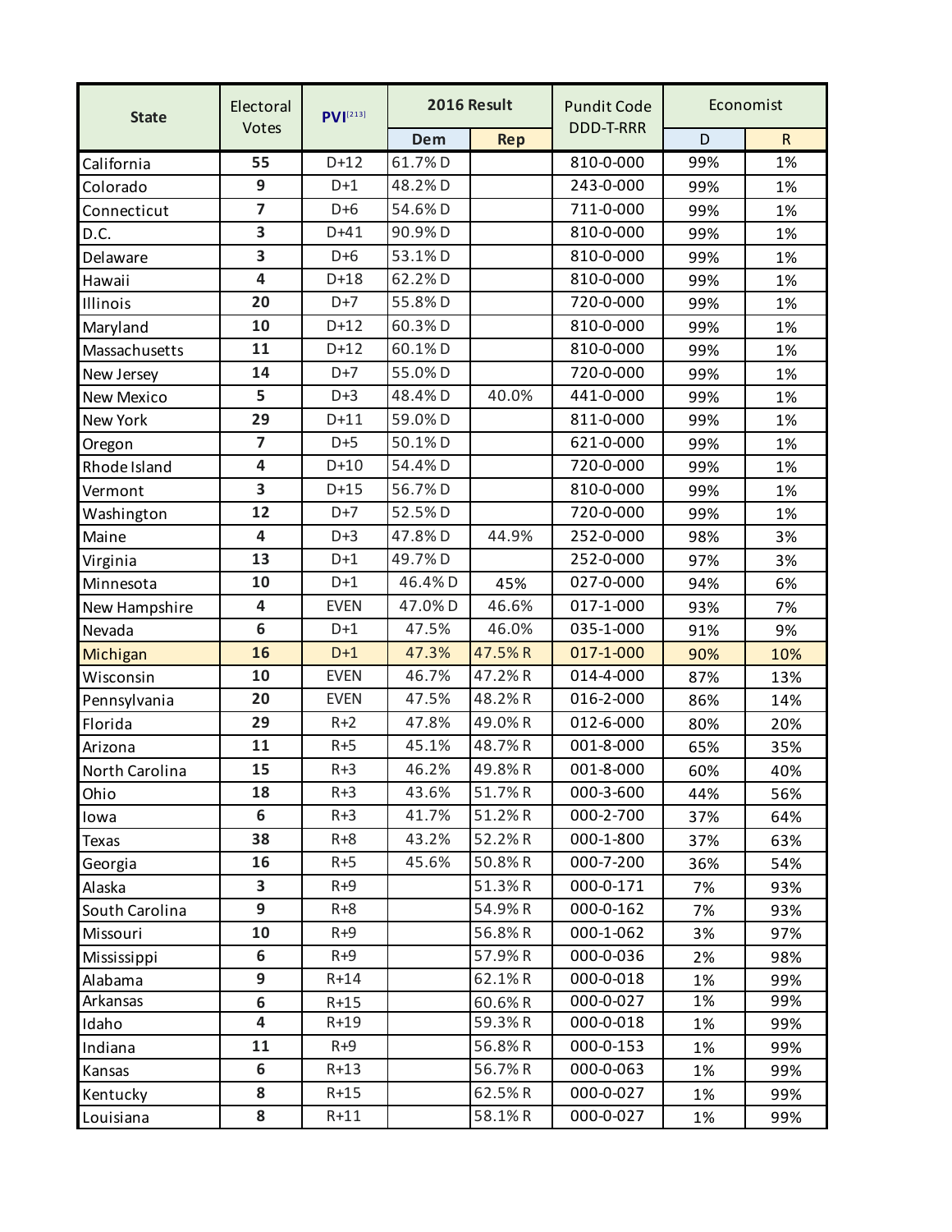| <b>State</b>   | Electoral               | $PVI^{[213]}$ |            | 2016 Result |                  |     | Economist    |
|----------------|-------------------------|---------------|------------|-------------|------------------|-----|--------------|
|                | Votes                   |               | <b>Dem</b> | <b>Rep</b>  | <b>DDD-T-RRR</b> | D   | $\mathsf{R}$ |
| California     | 55                      | $D+12$        | 61.7%D     |             | 810-0-000        | 99% | 1%           |
| Colorado       | 9                       | $D+1$         | 48.2%D     |             | 243-0-000        | 99% | 1%           |
| Connecticut    | $\overline{\mathbf{z}}$ | $D+6$         | 54.6%D     |             | 711-0-000        | 99% | 1%           |
| D.C.           | 3                       | $D+41$        | 90.9%D     |             | 810-0-000        | 99% | 1%           |
| Delaware       | 3                       | $D+6$         | 53.1%D     |             | 810-0-000        | 99% | 1%           |
| Hawaii         | $\overline{\mathbf{4}}$ | $D+18$        | 62.2%D     |             | 810-0-000        | 99% | 1%           |
| Illinois       | 20                      | $D+7$         | 55.8%D     |             | 720-0-000        | 99% | 1%           |
| Maryland       | 10                      | $D+12$        | 60.3%D     |             | 810-0-000        | 99% | 1%           |
| Massachusetts  | 11                      | $D+12$        | 60.1%D     |             | 810-0-000        | 99% | 1%           |
| New Jersey     | 14                      | $D+7$         | 55.0%D     |             | 720-0-000        | 99% | 1%           |
| New Mexico     | 5                       | $D+3$         | 48.4%D     | 40.0%       | 441-0-000        | 99% | 1%           |
| New York       | 29                      | $D+11$        | 59.0%D     |             | 811-0-000        | 99% | 1%           |
| Oregon         | $\overline{\mathbf{z}}$ | $D+5$         | 50.1%D     |             | 621-0-000        | 99% | 1%           |
| Rhode Island   | $\overline{\mathbf{4}}$ | $D+10$        | 54.4%D     |             | 720-0-000        | 99% | 1%           |
| Vermont        | 3                       | $D+15$        | 56.7%D     |             | 810-0-000        | 99% | 1%           |
| Washington     | 12                      | $D+7$         | 52.5%D     |             | 720-0-000        | 99% | 1%           |
| Maine          | $\overline{\mathbf{4}}$ | $D+3$         | 47.8%D     | 44.9%       | 252-0-000        | 98% | 3%           |
| Virginia       | 13                      | $D+1$         | 49.7%D     |             | 252-0-000        | 97% | 3%           |
| Minnesota      | 10                      | $D+1$         | 46.4%D     | 45%         | 027-0-000        | 94% | 6%           |
| New Hampshire  | 4                       | <b>EVEN</b>   | 47.0%D     | 46.6%       | 017-1-000        | 93% | 7%           |
| Nevada         | 6                       | $D+1$         | 47.5%      | 46.0%       | 035-1-000        | 91% | 9%           |
| Michigan       | 16                      | $D+1$         | 47.3%      | 47.5%R      | 017-1-000        | 90% | 10%          |
| Wisconsin      | 10                      | <b>EVEN</b>   | 46.7%      | 47.2%R      | 014-4-000        | 87% | 13%          |
| Pennsylvania   | 20                      | <b>EVEN</b>   | 47.5%      | 48.2%R      | 016-2-000        | 86% | 14%          |
| Florida        | 29                      | $R+2$         | 47.8%      | 49.0%R      | 012-6-000        | 80% | 20%          |
| Arizona        | 11                      | $R + 5$       | 45.1%      | 48.7%R      | 001-8-000        | 65% | 35%          |
| North Carolina | 15                      | $R+3$         | 46.2%      | 49.8%R      | 001-8-000        | 60% | 40%          |
| Ohio           | 18                      | $R + 3$       | 43.6%      | 51.7% R     | 000-3-600        | 44% | 56%          |
| lowa           | 6                       | $R + 3$       | 41.7%      | 51.2%R      | 000-2-700        | 37% | 64%          |
| Texas          | 38                      | $R + 8$       | 43.2%      | 52.2%R      | 000-1-800        | 37% | 63%          |
| Georgia        | 16                      | $R + 5$       | 45.6%      | 50.8%R      | 000-7-200        | 36% | 54%          |
| Alaska         | 3                       | $R+9$         |            | 51.3%R      | 000-0-171        | 7%  | 93%          |
| South Carolina | 9                       | $R + 8$       |            | 54.9%R      | 000-0-162        | 7%  | 93%          |
| Missouri       | 10                      | $R+9$         |            | 56.8% R     | 000-1-062        | 3%  | 97%          |
| Mississippi    | 6                       | $R+9$         |            | 57.9%R      | 000-0-036        | 2%  | 98%          |
| Alabama        | 9                       | $R+14$        |            | 62.1%R      | 000-0-018        | 1%  | 99%          |
| Arkansas       | 6                       | $R+15$        |            | 60.6%R      | 000-0-027        | 1%  | 99%          |
| Idaho          | $\overline{\mathbf{4}}$ | $R+19$        |            | 59.3%R      | 000-0-018        | 1%  | 99%          |
| Indiana        | 11                      | $R+9$         |            | 56.8%R      | 000-0-153        | 1%  | 99%          |
| Kansas         | 6                       | $R+13$        |            | 56.7%R      | 000-0-063        | 1%  | 99%          |
| Kentucky       | 8                       | $R+15$        |            | 62.5%R      | 000-0-027        | 1%  | 99%          |
| Louisiana      | 8                       | $R+11$        |            | 58.1%R      | 000-0-027        | 1%  | 99%          |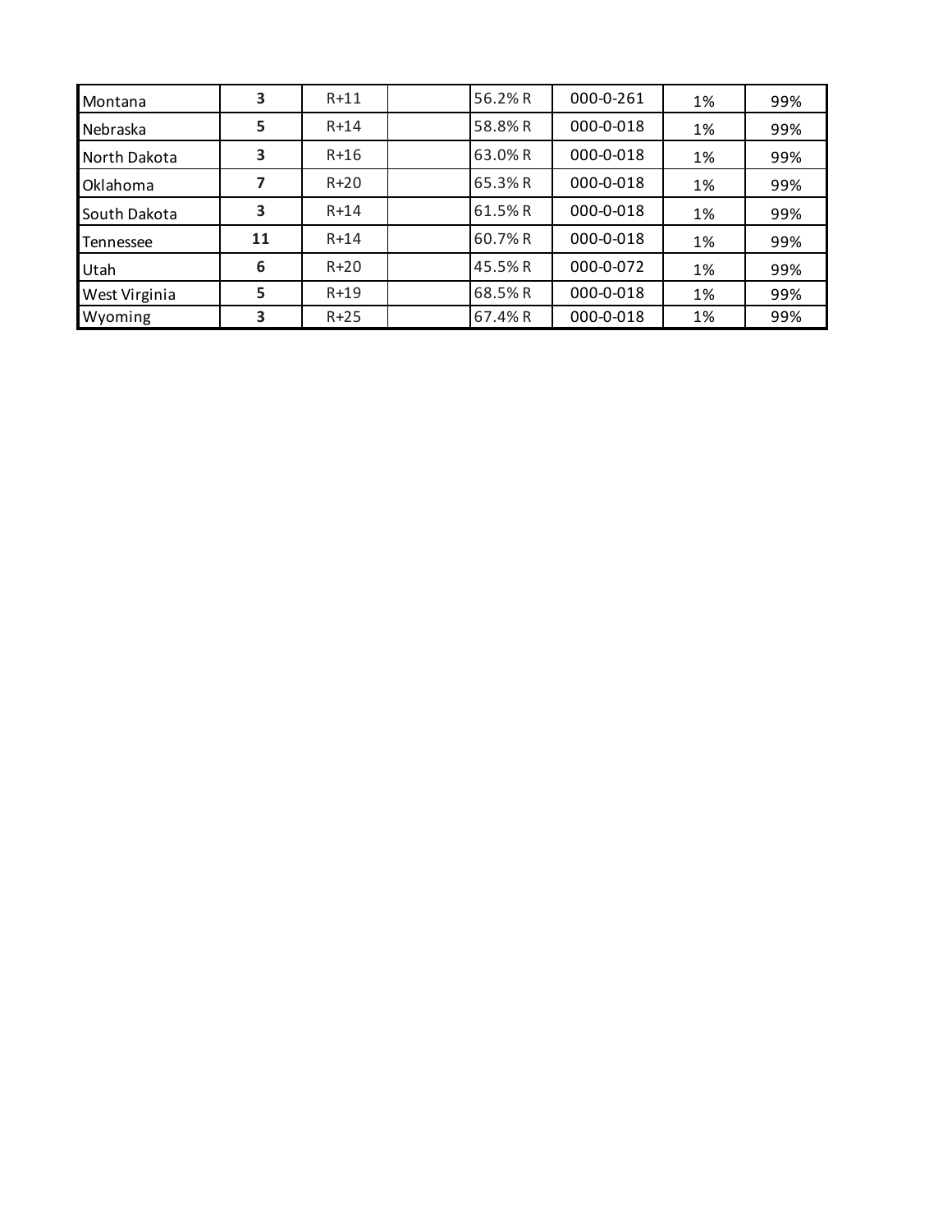| Montana       | 3  | $R+11$ | 56.2%R  | 000-0-261 | 1% | 99% |
|---------------|----|--------|---------|-----------|----|-----|
| Nebraska      | 5  | $R+14$ | 58.8%R  | 000-0-018 | 1% | 99% |
| North Dakota  | 3  | $R+16$ | 63.0% R | 000-0-018 | 1% | 99% |
| Oklahoma      |    | $R+20$ | 65.3%R  | 000-0-018 | 1% | 99% |
| South Dakota  | 3  | $R+14$ | 61.5%R  | 000-0-018 | 1% | 99% |
| Tennessee     | 11 | $R+14$ | 60.7%R  | 000-0-018 | 1% | 99% |
| Utah          | 6  | $R+20$ | 45.5% R | 000-0-072 | 1% | 99% |
| West Virginia | 5  | $R+19$ | 68.5%R  | 000-0-018 | 1% | 99% |
| Wyoming       | 3  | $R+25$ | 67.4% R | 000-0-018 | 1% | 99% |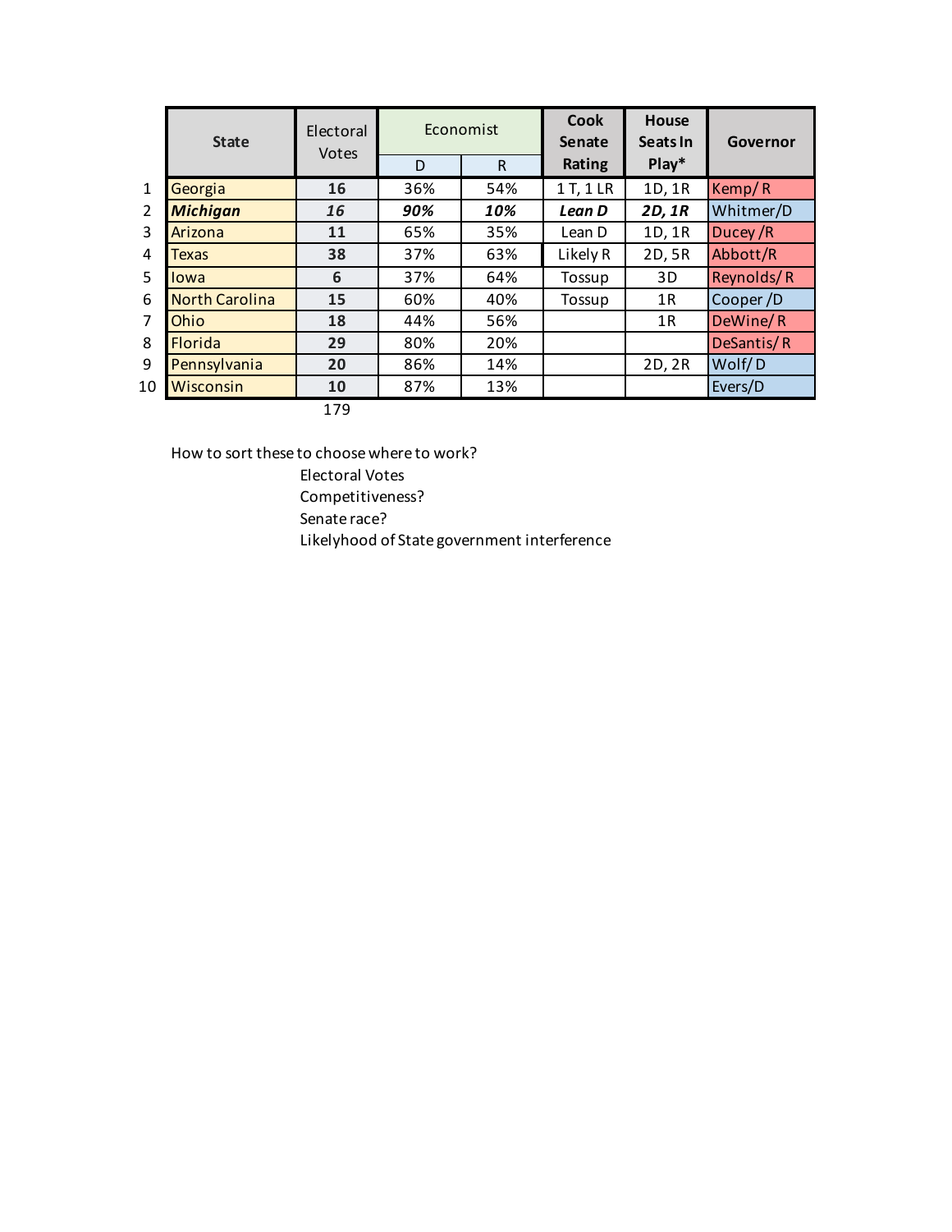|                | <b>State</b>          | Electoral<br>Votes |     | Economist    | Cook<br><b>Senate</b> | <b>House</b><br>Seats In | Governor   |
|----------------|-----------------------|--------------------|-----|--------------|-----------------------|--------------------------|------------|
|                |                       |                    | D   | $\mathsf{R}$ | Rating                | $Play*$                  |            |
| $\mathbf{1}$   | Georgia               | 16                 | 36% | 54%          | 1 T, 1 LR             | 1D, 1R                   | Kemp/R     |
| $\overline{2}$ | <b>Michigan</b>       | 16                 | 90% | 10%          | Lean D                | 2D, 1R                   | Whitmer/D  |
| 3              | Arizona               | 11                 | 65% | 35%          | Lean D                | 1D, 1R                   | Ducey/R    |
| 4              | <b>Texas</b>          | 38                 | 37% | 63%          | Likely R              | 2D, 5R                   | Abbott/R   |
| 5              | lowa                  | 6                  | 37% | 64%          | Tossup                | 3D                       | Reynolds/R |
| 6              | <b>North Carolina</b> | 15                 | 60% | 40%          | Tossup                | 1R                       | Cooper /D  |
| 7              | Ohio                  | 18                 | 44% | 56%          |                       | 1R                       | DeWine/R   |
| 8              | <b>Florida</b>        | 29                 | 80% | 20%          |                       |                          | DeSantis/R |
| 9              | Pennsylvania          | 20                 | 86% | 14%          |                       | 2D, 2R                   | Wolf/D     |
| 10             | Wisconsin             | 10                 | 87% | 13%          |                       |                          | Evers/D    |
|                |                       | 179                |     |              |                       |                          |            |

How to sort these to choose where to work?

Electoral Votes

Competitiveness?

Senate race?

Likelyhood of State government interference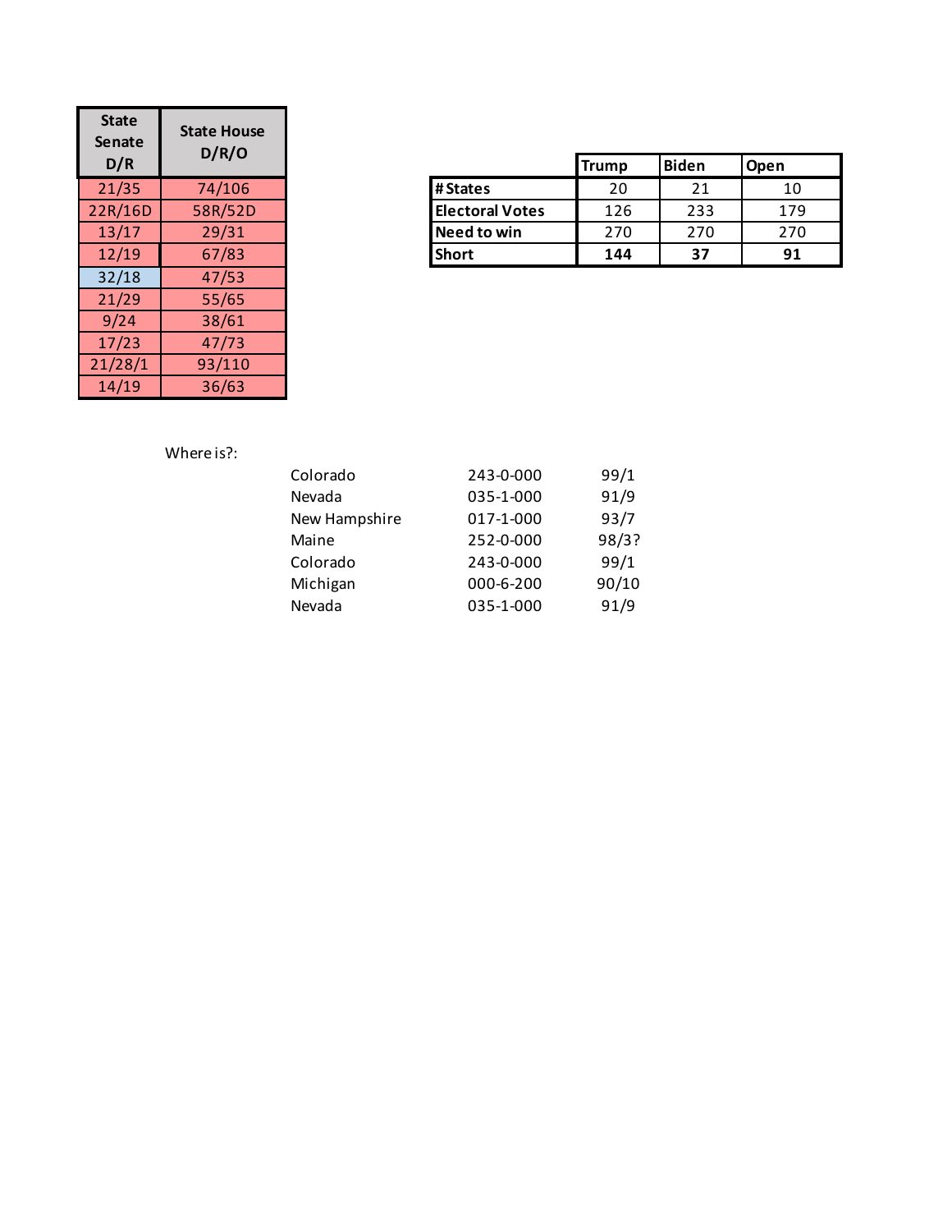| <b>State</b><br><b>Senate</b><br>D/R | <b>State House</b><br>D/R/O |
|--------------------------------------|-----------------------------|
| 21/35                                | 74/106                      |
| 22R/16D                              | 58R/52D                     |
| 13/17                                | 29/31                       |
| 12/19                                | 67/83                       |
| 32/18                                | 47/53                       |
| 21/29                                | 55/65                       |
| 9/24                                 | 38/61                       |
| 17/23                                | 47/73                       |
| 21/28/1                              | 93/110                      |
| 14/19                                | 36/63                       |

| D/R     | U/NU    |                        | <b>Trump</b> | Biden | <b>Open</b> |
|---------|---------|------------------------|--------------|-------|-------------|
| 21/35   | 74/106  | #States                | 20           | 21    | 10          |
| 22R/16D | 58R/52D | <b>Electoral Votes</b> | 126          | 233   | 179         |
| 13/17   | 29/31   | Need to win            | 270          | 270   | 270         |
| 12/19   | 67/83   | <b>Short</b>           | 144          | 37    | 91          |

# Where is?:

| Colorado      | 243-0-000 | 99/1  |
|---------------|-----------|-------|
| Nevada        | 035-1-000 | 91/9  |
| New Hampshire | 017-1-000 | 93/7  |
| Maine         | 252-0-000 | 98/3? |
| Colorado      | 243-0-000 | 99/1  |
| Michigan      | 000-6-200 | 90/10 |
| Nevada        | 035-1-000 | 91/9  |
|               |           |       |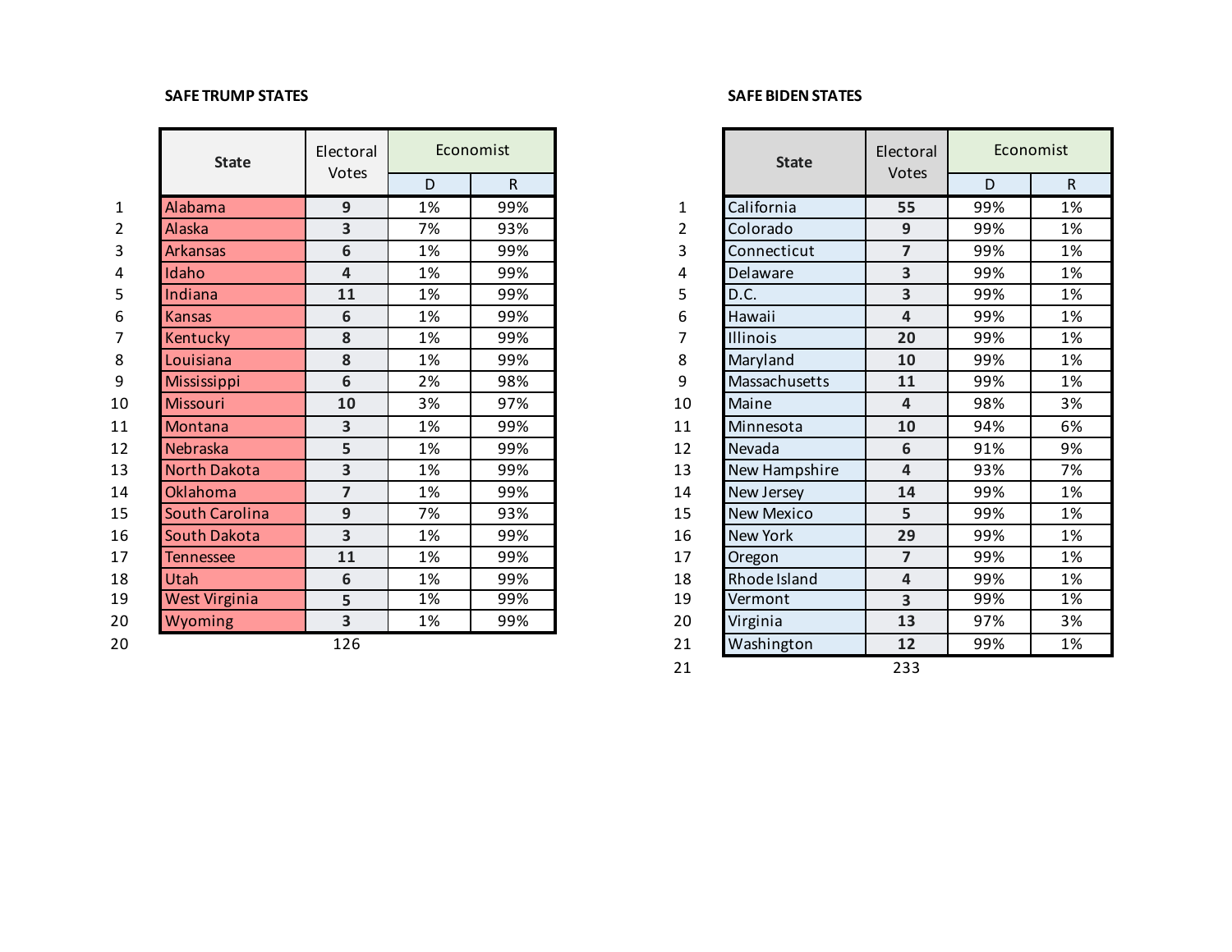## **SAFE TRUMP STATES SAFE BIDEN STATES**

|                | <b>State</b>          | Electoral      |    | Economist |                | <b>State</b>         | Electoral      |     | Economist    |
|----------------|-----------------------|----------------|----|-----------|----------------|----------------------|----------------|-----|--------------|
|                |                       | Votes          | D  | R         |                |                      | Votes          | D   | $\mathsf{R}$ |
| $\mathbf{1}$   | Alabama               | 9              | 1% | 99%       | 1              | California           | 55             | 99% | 1%           |
| $\overline{2}$ | <b>Alaska</b>         | 3              | 7% | 93%       | $\overline{2}$ | Colorado             | 9              | 99% | 1%           |
| 3              | <b>Arkansas</b>       | 6              | 1% | 99%       | 3              | Connecticut          | $\overline{7}$ | 99% | 1%           |
| 4              | Idaho                 | 4              | 1% | 99%       | 4              | Delaware             | 3              | 99% | 1%           |
| 5              | Indiana               | 11             | 1% | 99%       | 5              | D.C.                 | 3              | 99% | 1%           |
| 6              | <b>Kansas</b>         | 6              | 1% | 99%       | 6              | Hawaii               | 4              | 99% | 1%           |
| 7              | Kentucky              | 8              | 1% | 99%       | 7              | Illinois             | 20             | 99% | 1%           |
| 8              | Louisiana             | 8              | 1% | 99%       | 8              | Maryland             | 10             | 99% | 1%           |
| 9              | Mississippi           | 6              | 2% | 98%       | 9              | <b>Massachusetts</b> | 11             | 99% | 1%           |
| 10             | Missouri              | 10             | 3% | 97%       | 10             | Maine                | 4              | 98% | 3%           |
| 11             | Montana               | 3              | 1% | 99%       | 11             | Minnesota            | 10             | 94% | 6%           |
| 12             | Nebraska              | 5              | 1% | 99%       | 12             | Nevada               | 6              | 91% | 9%           |
| 13             | North Dakota          | 3              | 1% | 99%       | 13             | New Hampshire        | 4              | 93% | 7%           |
| 14             | <b>Oklahoma</b>       | $\overline{7}$ | 1% | 99%       | 14             | New Jersey           | 14             | 99% | 1%           |
| 15             | <b>South Carolina</b> | 9              | 7% | 93%       | 15             | New Mexico           | 5              | 99% | 1%           |
| 16             | South Dakota          | 3              | 1% | 99%       | 16             | <b>New York</b>      | 29             | 99% | 1%           |
| 17             | <b>Tennessee</b>      | 11             | 1% | 99%       | 17             | Oregon               | $\overline{7}$ | 99% | 1%           |
| 18             | Utah                  | 6              | 1% | 99%       | 18             | Rhode Island         | 4              | 99% | 1%           |
| 19             | West Virginia         | 5              | 1% | 99%       | 19             | Vermont              | 3              | 99% | 1%           |
| 20             | Wyoming               | 3              | 1% | 99%       | 20             | Virginia             | 13             | 97% | 3%           |
| 20             |                       | 126            |    |           | 21             | Washington           | 12             | 99% | 1%           |

|                | <b>State</b>          | Electoral               | Economist |     |    | <b>State</b>      | Electoral               | Economist |              |  |
|----------------|-----------------------|-------------------------|-----------|-----|----|-------------------|-------------------------|-----------|--------------|--|
|                |                       | Votes                   | D         | R   |    |                   | Votes                   | D         | $\mathsf{R}$ |  |
| $\mathbf{1}$   | Alabama               | 9                       | 1%        | 99% | 1  | California        | 55                      | 99%       | 1%           |  |
| $\overline{2}$ | <b>Alaska</b>         | 3                       | 7%        | 93% | 2  | Colorado          | $9$                     | 99%       | 1%           |  |
| 3              | <b>Arkansas</b>       | 6                       | 1%        | 99% | 3  | Connecticut       | $\overline{7}$          | 99%       | 1%           |  |
| 4              | Idaho                 | $\overline{4}$          | 1%        | 99% | 4  | Delaware          | 3                       | 99%       | 1%           |  |
| 5              | Indiana               | 11                      | 1%        | 99% | 5  | D.C.              | 3                       | 99%       | 1%           |  |
| 6              | <b>Kansas</b>         | 6                       | 1%        | 99% | 6  | Hawaii            | 4                       | 99%       | 1%           |  |
| 7              | Kentucky              | 8                       | 1%        | 99% |    | <b>Illinois</b>   | 20                      | 99%       | 1%           |  |
| 8              | Louisiana             | 8                       | 1%        | 99% | 8  | Maryland          | 10                      | 99%       | 1%           |  |
| 9              | Mississippi           | 6                       | 2%        | 98% | 9  | Massachusetts     | 11                      | 99%       | 1%           |  |
| 10             | Missouri              | 10                      | 3%        | 97% | 10 | Maine             | 4                       | 98%       | 3%           |  |
| 11             | Montana               | 3                       | 1%        | 99% | 11 | Minnesota         | 10                      | 94%       | 6%           |  |
| 12             | Nebraska              | 5                       | 1%        | 99% | 12 | Nevada            | 6                       | 91%       | 9%           |  |
| 13             | <b>North Dakota</b>   | 3                       | 1%        | 99% | 13 | New Hampshire     | $\overline{\mathbf{4}}$ | 93%       | 7%           |  |
| 14             | <b>Oklahoma</b>       | $\overline{7}$          | 1%        | 99% | 14 | New Jersey        | 14                      | 99%       | 1%           |  |
| 15             | <b>South Carolina</b> | 9                       | 7%        | 93% | 15 | <b>New Mexico</b> | 5                       | 99%       | 1%           |  |
| 16             | <b>South Dakota</b>   | 3                       | 1%        | 99% | 16 | New York          | 29                      | 99%       | 1%           |  |
| 17             | <b>Tennessee</b>      | 11                      | 1%        | 99% | 17 | Oregon            | $\overline{7}$          | 99%       | 1%           |  |
| 18             | Utah                  | 6                       | 1%        | 99% | 18 | Rhode Island      | 4                       | 99%       | 1%           |  |
| 19             | West Virginia         | 5                       | 1%        | 99% | 19 | Vermont           | $\overline{\mathbf{3}}$ | 99%       | 1%           |  |
| 20             | Wyoming               | $\overline{\mathbf{3}}$ | 1%        | 99% | 20 | Virginia          | 13                      | 97%       | 3%           |  |
| 20             |                       | 126                     |           |     | 21 | Washington        | 12                      | 99%       | 1%           |  |
|                |                       |                         |           |     | 21 |                   | 233                     |           |              |  |